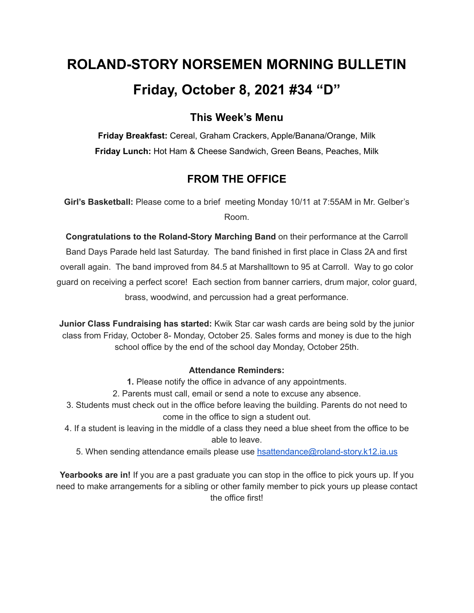# **ROLAND-STORY NORSEMEN MORNING BULLETIN Friday, October 8, 2021 #34 "D"**

## **This Week's Menu**

**Friday Breakfast:** Cereal, Graham Crackers, Apple/Banana/Orange, Milk **Friday Lunch:** Hot Ham & Cheese Sandwich, Green Beans, Peaches, Milk

## **FROM THE OFFICE**

**Girl's Basketball:** Please come to a brief meeting Monday 10/11 at 7:55AM in Mr. Gelber's Room.

**Congratulations to the Roland-Story Marching Band** on their performance at the Carroll Band Days Parade held last Saturday. The band finished in first place in Class 2A and first overall again. The band improved from 84.5 at Marshalltown to 95 at Carroll. Way to go color guard on receiving a perfect score! Each section from banner carriers, drum major, color guard, brass, woodwind, and percussion had a great performance.

**Junior Class Fundraising has started:** Kwik Star car wash cards are being sold by the junior class from Friday, October 8- Monday, October 25. Sales forms and money is due to the high school office by the end of the school day Monday, October 25th.

#### **Attendance Reminders:**

**1.** Please notify the office in advance of any appointments.

- 2. Parents must call, email or send a note to excuse any absence.
- 3. Students must check out in the office before leaving the building. Parents do not need to come in the office to sign a student out.
- 4. If a student is leaving in the middle of a class they need a blue sheet from the office to be able to leave.
	- 5. When sending attendance emails please use [hsattendance@roland-story.k12.ia.us](mailto:hsattendance@roland-story.k12.ia.us)

**Yearbooks are in!** If you are a past graduate you can stop in the office to pick yours up. If you need to make arrangements for a sibling or other family member to pick yours up please contact the office first!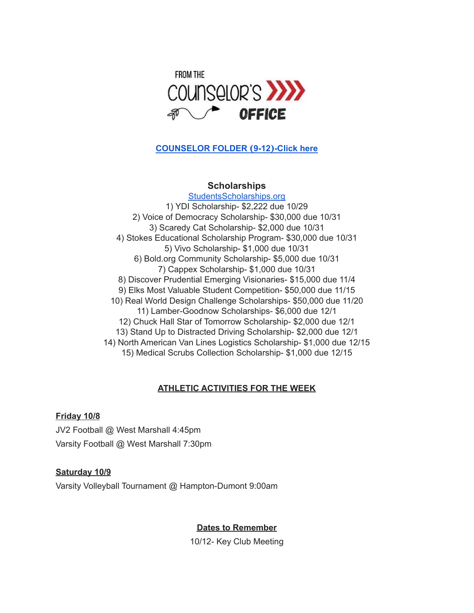

#### **[COUNSELOR](https://docs.google.com/document/d/1vmwczNPbDzXe9vFaG5LJMQ7NYDv-i4oQJHybqA65TUc/edit?usp=sharing) FOLDER (9-12)-Click here**

#### **Scholarships**

[StudentsScholarships.org](https://drive.google.com/file/d/1qbbp7lqeWGlW0ouOHrSolpv8U_P4g6cU/view) 1) YDI Scholarship- \$2,222 due 10/29 2) Voice of Democracy Scholarship- \$30,000 due 10/31 3) Scaredy Cat Scholarship- \$2,000 due 10/31 4) Stokes Educational Scholarship Program- \$30,000 due 10/31 5) Vivo Scholarship- \$1,000 due 10/31 6) Bold.org Community Scholarship- \$5,000 due 10/31 7) Cappex Scholarship- \$1,000 due 10/31 8) Discover Prudential Emerging Visionaries- \$15,000 due 11/4 9) Elks Most Valuable Student Competition- \$50,000 due 11/15 10) Real World Design Challenge Scholarships- \$50,000 due 11/20 11) Lamber-Goodnow Scholarships- \$6,000 due 12/1 12) Chuck Hall Star of Tomorrow Scholarship- \$2,000 due 12/1 13) Stand Up to Distracted Driving Scholarship- \$2,000 due 12/1 14) North American Van Lines Logistics Scholarship- \$1,000 due 12/15 15) Medical Scrubs Collection Scholarship- \$1,000 due 12/15

### **ATHLETIC ACTIVITIES FOR THE WEEK**

#### **Friday 10/8**

JV2 Football @ West Marshall 4:45pm Varsity Football @ West Marshall 7:30pm

#### **Saturday 10/9**

Varsity Volleyball Tournament @ Hampton-Dumont 9:00am

#### **Dates to Remember**

10/12- Key Club Meeting